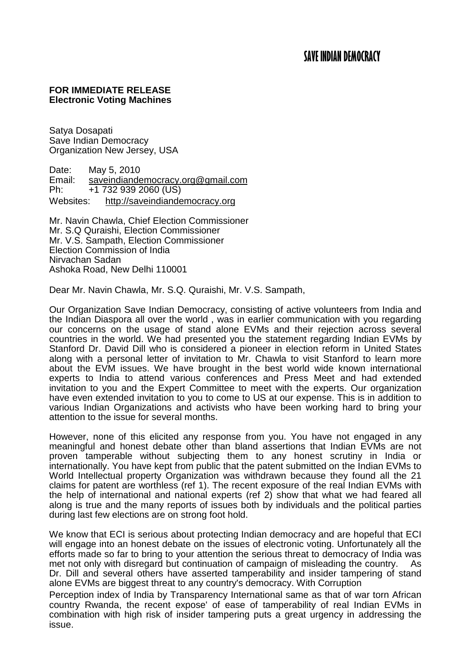## **FOR IMMEDIATE RELEASE Electronic Voting Machines**

Satya Dosapati Save Indian Democracy Organization New Jersey, USA

Date: May 5, 2010<br>Email: saveindiande Email: [saveindiandemocracy.org@gmail.com](mailto:saveindiandemocracy.org@gmail.com)<br>Ph: +1 732 939 2060 (US) Ph: +1 732 939 2060 (US) Websites: [http://saveindiandemocracy.org](http://saveindiandemocracy.org/)

Mr. Navin Chawla, Chief Election Commissioner Mr. S.Q Quraishi, Election Commissioner Mr. V.S. Sampath, Election Commissioner Election Commission of India Nirvachan Sadan Ashoka Road, New Delhi 110001

Dear Mr. Navin Chawla, Mr. S.Q. Quraishi, Mr. V.S. Sampath,

Our Organization Save Indian Democracy, consisting of active volunteers from India and the Indian Diaspora all over the world , was in earlier communication with you regarding our concerns on the usage of stand alone EVMs and their rejection across several countries in the world. We had presented you the statement regarding Indian EVMs by Stanford Dr. David Dill who is considered a pioneer in election reform in United States along with a personal letter of invitation to Mr. Chawla to visit Stanford to learn more about the EVM issues. We have brought in the best world wide known international experts to India to attend various conferences and Press Meet and had extended invitation to you and the Expert Committee to meet with the experts. Our organization have even extended invitation to you to come to US at our expense. This is in addition to various Indian Organizations and activists who have been working hard to bring your attention to the issue for several months.

However, none of this elicited any response from you. You have not engaged in any meaningful and honest debate other than bland assertions that Indian EVMs are not proven tamperable without subjecting them to any honest scrutiny in India or internationally. You have kept from public that the patent submitted on the Indian EVMs to World Intellectual property Organization was withdrawn because they found all the 21 claims for patent are worthless (ref 1). The recent exposure of the real Indian EVMs with the help of international and national experts (ref 2) show that what we had feared all along is true and the many reports of issues both by individuals and the political parties during last few elections are on strong foot hold.

We know that ECI is serious about protecting Indian democracy and are hopeful that ECI will engage into an honest debate on the issues of electronic voting. Unfortunately all the efforts made so far to bring to your attention the serious threat to democracy of India was met not only with disregard but continuation of campaign of misleading the country. As Dr. Dill and several others have asserted tamperability and insider tampering of stand alone EVMs are biggest threat to any country's democracy. With Corruption

Perception index of India by Transparency International same as that of war torn African country Rwanda, the recent expose' of ease of tamperability of real Indian EVMs in combination with high risk of insider tampering puts a great urgency in addressing the issue.